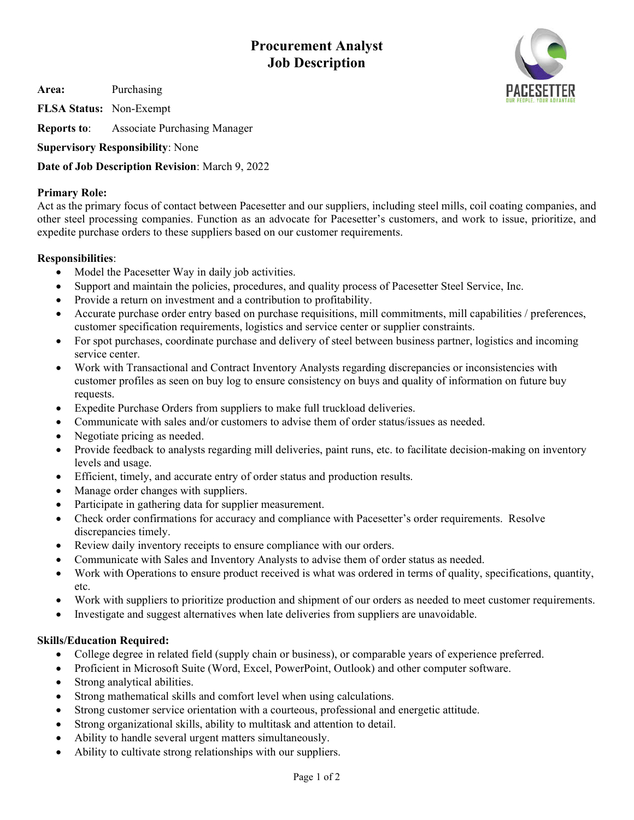**Procurement Analyst Job Description**

**Area:** Purchasing

**FLSA Status:** Non-Exempt

**Reports to**: Associate Purchasing Manager

**Supervisory Responsibility**: None

**Date of Job Description Revision**: March 9, 2022

## **Primary Role:**

Act as the primary focus of contact between Pacesetter and our suppliers, including steel mills, coil coating companies, and other steel processing companies. Function as an advocate for Pacesetter's customers, and work to issue, prioritize, and expedite purchase orders to these suppliers based on our customer requirements.

## **Responsibilities**:

- Model the Pacesetter Way in daily job activities.
- Support and maintain the policies, procedures, and quality process of Pacesetter Steel Service, Inc.
- Provide a return on investment and a contribution to profitability.
- Accurate purchase order entry based on purchase requisitions, mill commitments, mill capabilities / preferences, customer specification requirements, logistics and service center or supplier constraints.
- For spot purchases, coordinate purchase and delivery of steel between business partner, logistics and incoming service center.
- Work with Transactional and Contract Inventory Analysts regarding discrepancies or inconsistencies with customer profiles as seen on buy log to ensure consistency on buys and quality of information on future buy requests.
- Expedite Purchase Orders from suppliers to make full truckload deliveries.
- Communicate with sales and/or customers to advise them of order status/issues as needed.
- Negotiate pricing as needed.
- Provide feedback to analysts regarding mill deliveries, paint runs, etc. to facilitate decision-making on inventory levels and usage.
- Efficient, timely, and accurate entry of order status and production results.
- Manage order changes with suppliers.
- Participate in gathering data for supplier measurement.
- Check order confirmations for accuracy and compliance with Pacesetter's order requirements. Resolve discrepancies timely.
- Review daily inventory receipts to ensure compliance with our orders.
- Communicate with Sales and Inventory Analysts to advise them of order status as needed.
- Work with Operations to ensure product received is what was ordered in terms of quality, specifications, quantity, etc.
- Work with suppliers to prioritize production and shipment of our orders as needed to meet customer requirements.
- Investigate and suggest alternatives when late deliveries from suppliers are unavoidable.

## **Skills/Education Required:**

- College degree in related field (supply chain or business), or comparable years of experience preferred.
- Proficient in Microsoft Suite (Word, Excel, PowerPoint, Outlook) and other computer software.
- Strong analytical abilities.
- Strong mathematical skills and comfort level when using calculations.
- Strong customer service orientation with a courteous, professional and energetic attitude.
- Strong organizational skills, ability to multitask and attention to detail.
- Ability to handle several urgent matters simultaneously.
- Ability to cultivate strong relationships with our suppliers.